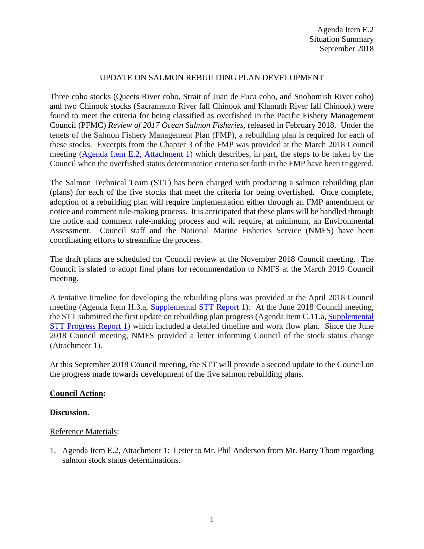## UPDATE ON SALMON REBUILDING PLAN DEVELOPMENT

Three coho stocks (Queets River coho, Strait of Juan de Fuca coho, and Snohomish River coho) and two Chinook stocks (Sacramento River fall Chinook and Klamath River fall Chinook) were found to meet the criteria for being classified as overfished in the Pacific Fishery Management Council (PFMC) *Review of 2017 Ocean Salmon Fisheries,* released in February 2018. Under the tenets of the Salmon Fishery Management Plan (FMP), a rebuilding plan is required for each of these stocks. Excerpts from the Chapter 3 of the FMP was provided at the March 2018 Council meeting [\(Agenda Item E.2, Attachment 1\)](https://www.pcouncil.org/wp-content/uploads/2018/02/E2_Att1_FMP_Mar2018BB.pdf) which describes, in part, the steps to be taken by the Council when the overfished status determination criteria set forth in the FMP have been triggered.

The Salmon Technical Team (STT) has been charged with producing a salmon rebuilding plan (plans) for each of the five stocks that meet the criteria for being overfished. Once complete, adoption of a rebuilding plan will require implementation either through an FMP amendment or notice and comment rule-making process. It is anticipated that these plans will be handled through the notice and comment rule-making process and will require, at minimum, an Environmental Assessment. Council staff and the National Marine Fisheries Service (NMFS) have been coordinating efforts to streamline the process.

The draft plans are scheduled for Council review at the November 2018 Council meeting. The Council is slated to adopt final plans for recommendation to NMFS at the March 2019 Council meeting.

A tentative timeline for developing the rebuilding plans was provided at the April 2018 Council meeting (Agenda Item H.3.a, [Supplemental STT Report 1\)](https://www.pcouncil.org/wp-content/uploads/2018/04/H3a_Supp_STT_Rpt1_APR2018BB.pdf). At the June 2018 Council meeting, the STT submitted the first update on rebuilding plan progress (Agenda Item C.11.a, [Supplemental](https://www.pcouncil.org/wp-content/uploads/2018/06/C11a_Supp_STT_Rpt1_RebuildingProgressRpt_JUNE2018BB.pdf)  [STT Progress Report 1\)](https://www.pcouncil.org/wp-content/uploads/2018/06/C11a_Supp_STT_Rpt1_RebuildingProgressRpt_JUNE2018BB.pdf) which included a detailed timeline and work flow plan. Since the June 2018 Council meeting, NMFS provided a letter informing Council of the stock status change (Attachment 1).

At this September 2018 Council meeting, the STT will provide a second update to the Council on the progress made towards development of the five salmon rebuilding plans.

## **Council Action:**

## **Discussion.**

## Reference Materials:

1. Agenda Item E.2, Attachment 1: Letter to Mr. Phil Anderson from Mr. Barry Thom regarding salmon stock status determinations.